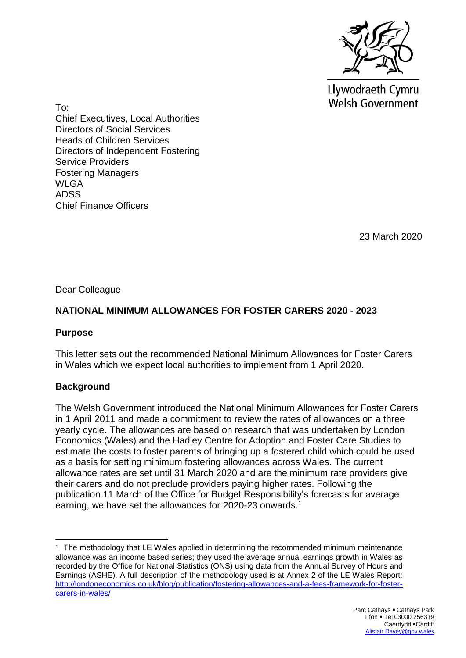

Llywodraeth Cymru **Welsh Government** 

To: Chief Executives, Local Authorities Directors of Social Services Heads of Children Services Directors of Independent Fostering Service Providers Fostering Managers WLGA ADSS Chief Finance Officers

23 March 2020

Dear Colleague

# **NATIONAL MINIMUM ALLOWANCES FOR FOSTER CARERS 2020 - 2023**

### **Purpose**

This letter sets out the recommended National Minimum Allowances for Foster Carers in Wales which we expect local authorities to implement from 1 April 2020.

## **Background**

The Welsh Government introduced the National Minimum Allowances for Foster Carers in 1 April 2011 and made a commitment to review the rates of allowances on a three yearly cycle. The allowances are based on research that was undertaken by London Economics (Wales) and the Hadley Centre for Adoption and Foster Care Studies to estimate the costs to foster parents of bringing up a fostered child which could be used as a basis for setting minimum fostering allowances across Wales. The current allowance rates are set until 31 March 2020 and are the minimum rate providers give their carers and do not preclude providers paying higher rates. Following the publication 11 March of the Office for Budget Responsibility's forecasts for average earning, we have set the allowances for 2020-23 onwards.<sup>1</sup>

 $1$  The methodology that LE Wales applied in determining the recommended minimum maintenance allowance was an income based series; they used the average annual earnings growth in Wales as recorded by the Office for National Statistics (ONS) using data from the Annual Survey of Hours and Earnings (ASHE). A full description of the methodology used is at Annex 2 of the LE Wales Report: [http://londoneconomics.co.uk/blog/publication/fostering-allowances-and-a-fees-framework-for-foster](http://londoneconomics.co.uk/blog/publication/fostering-allowances-and-a-fees-framework-for-foster-carers-in-wales/)[carers-in-wales/](http://londoneconomics.co.uk/blog/publication/fostering-allowances-and-a-fees-framework-for-foster-carers-in-wales/)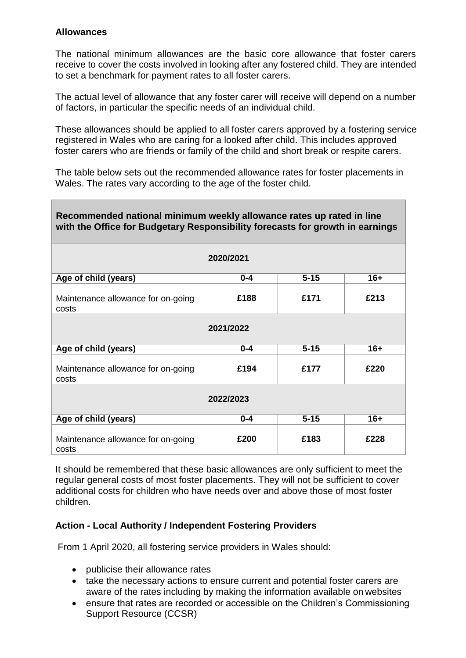### **Allowances**

The national minimum allowances are the basic core allowance that foster carers receive to cover the costs involved in looking after any fostered child. They are intended to set a benchmark for payment rates to all foster carers.

The actual level of allowance that any foster carer will receive will depend on a number of factors, in particular the specific needs of an individual child.

These allowances should be applied to all foster carers approved by a fostering service registered in Wales who are caring for a looked after child. This includes approved foster carers who are friends or family of the child and short break or respite carers.

The table below sets out the recommended allowance rates for foster placements in Wales. The rates vary according to the age of the foster child.

| Recommended national minimum weekly allowance rates up rated in line<br>with the Office for Budgetary Responsibility forecasts for growth in earnings |         |          |       |
|-------------------------------------------------------------------------------------------------------------------------------------------------------|---------|----------|-------|
| 2020/2021                                                                                                                                             |         |          |       |
| Age of child (years)                                                                                                                                  | $0 - 4$ | $5 - 15$ | $16+$ |
| Maintenance allowance for on-going<br>costs                                                                                                           | £188    | £171     | £213  |
| 2021/2022                                                                                                                                             |         |          |       |
| Age of child (years)                                                                                                                                  | $0 - 4$ | $5 - 15$ | $16+$ |
| Maintenance allowance for on-going<br>costs                                                                                                           | £194    | £177     | £220  |
| 2022/2023                                                                                                                                             |         |          |       |
| Age of child (years)                                                                                                                                  | $0 - 4$ | $5 - 15$ | $16+$ |
| Maintenance allowance for on-going<br>costs                                                                                                           | £200    | £183     | £228  |

It should be remembered that these basic allowances are only sufficient to meet the regular general costs of most foster placements. They will not be sufficient to cover additional costs for children who have needs over and above those of most foster children.

#### **Action - Local Authority / Independent Fostering Providers**

From 1 April 2020, all fostering service providers in Wales should:

- publicise their allowance rates
- take the necessary actions to ensure current and potential foster carers are aware of the rates including by making the information available on websites
- ensure that rates are recorded or accessible on the Children's Commissioning Support Resource (CCSR)